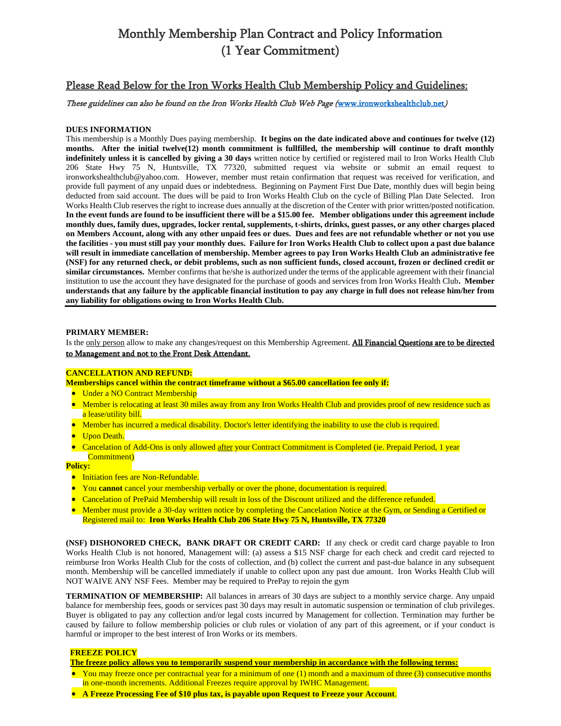# Monthly Membership Plan Contract and Policy Information (1 Year Commitment)

## Please Read Below for the Iron Works Health Club Membership Policy and Guidelines:

## These guidelines can also be found on the Iron Works Health Club Web Page ([www.ironworkshealthclub.net](http://www.ironworkshealthclub.net/))

## **DUES INFORMATION**

This membership is a Monthly Dues paying membership. **It begins on the date indicated above and continues for twelve (12) months. After the initial twelve(12) month commitment is fullfilled, the membership will continue to draft monthly indefinitely unless it is cancelled by giving a 30 days** written notice by certified or registered mail to Iron Works Health Club 206 State Hwy 75 N, Huntsville, TX 77320, submitted request via website or submit an email request to ironworkshealthclub@yahoo.com. However, member must retain confirmation that request was received for verification, and provide full payment of any unpaid dues or indebtedness. Beginning on Payment First Due Date, monthly dues will begin being deducted from said account. The dues will be paid to Iron Works Health Club on the cycle of Billing Plan Date Selected. Iron Works Health Club reserves the right to increase dues annually at the discretion of the Center with prior written/posted notification. **In the event funds are found to be insufficient there will be a \$15.00 fee. Member obligations under this agreement include monthly dues, family dues, upgrades, locker rental, supplements, t-shirts, drinks, guest passes, or any other charges placed on Members Account, along with any other unpaid fees or dues. Dues and fees are not refundable whether or not you use the facilities - you must still pay your monthly dues. Failure for Iron Works Health Club to collect upon a past due balance will result in immediate cancellation of membership. Member agrees to pay Iron Works Health Club an administrative fee (NSF) for any returned check, or debit problems, such as non sufficient funds, closed account, frozen or declined credit or similar circumstances.** Member confirms that he/she is authorized under the terms of the applicable agreement with their financial institution to use the account they have designated for the purchase of goods and services from Iron Works Health Club**. Member understands that any failure by the applicable financial institution to pay any charge in full does not release him/her from any liability for obligations owing to Iron Works Health Club.** 

#### **PRIMARY MEMBER:**

Is the only person allow to make any changes/request on this Membership Agreement. All Financial Questions are to be directed to Management and not to the Front Desk Attendant.

#### **CANCELLATION AND REFUND:**

**Memberships cancel within the contract timeframe without a \$65.00 cancellation fee only if:**

- Under a NO Contract Membership
- Member is relocating at least 30 miles away from any Iron Works Health Club and provides proof of new residence such as a lease/utility bill.
- Member has incurred a medical disability. Doctor's letter identifying the inability to use the club is required.
- Upon Death.
- Cancelation of Add-Ons is only allowed after your Contract Commitment is Completed (ie. Prepaid Period, 1 year Commitment)

**Policy:**

- Initiation fees are Non-Refundable.
- You **cannot** cancel your membership verbally or over the phone, documentation is required.
- Cancelation of PrePaid Membership will result in loss of the Discount utilized and the difference refunded.
- Member must provide a 30-day written notice by completing the Cancelation Notice at the Gym, or Sending a Certified or Registered mail to: **Iron Works Health Club 206 State Hwy 75 N, Huntsville, TX 77320**

**(NSF) DISHONORED CHECK, BANK DRAFT OR CREDIT CARD:** If any check or credit card charge payable to Iron Works Health Club is not honored, Management will: (a) assess a \$15 NSF charge for each check and credit card rejected to reimburse Iron Works Health Club for the costs of collection, and (b) collect the current and past-due balance in any subsequent month. Membership will be cancelled immediately if unable to collect upon any past due amount. Iron Works Health Club will NOT WAIVE ANY NSF Fees. Member may be required to PrePay to rejoin the gym

**TERMINATION OF MEMBERSHIP:** All balances in arrears of 30 days are subject to a monthly service charge. Any unpaid balance for membership fees, goods or services past 30 days may result in automatic suspension or termination of club privileges. Buyer is obligated to pay any collection and/or legal costs incurred by Management for collection. Termination may further be caused by failure to follow membership policies or club rules or violation of any part of this agreement, or if your conduct is harmful or improper to the best interest of Iron Works or its members.

#### **FREEZE POLICY**

**The freeze policy allows you to temporarily suspend your membership in accordance with the following terms:**

- You may freeze once per contractual year for a minimum of one (1) month and a maximum of three (3) consecutive months in one-month increments. Additional Freezes require approval by IWHC Management.
- **A Freeze Processing Fee of \$10 plus tax, is payable upon Request to Freeze your Account**.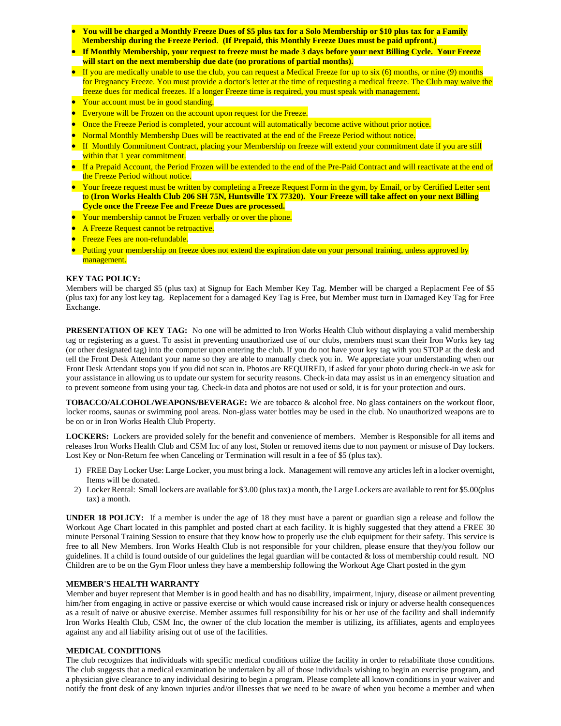- **You will be charged a Monthly Freeze Dues of \$5 plus tax for a Solo Membership or \$10 plus tax for a Family Membership during the Freeze Period**. **(If Prepaid, this Monthly Freeze Dues must be paid upfront.)**
- **If Monthly Membership, your request to freeze must be made 3 days before your next Billing Cycle. Your Freeze will start on the next membership due date (no prorations of partial months).**
- If you are medically unable to use the club, you can request a Medical Freeze for up to six (6) months, or nine (9) months for Pregnancy Freeze. You must provide a doctor's letter at the time of requesting a medical freeze. The Club may waive the freeze dues for medical freezes. If a longer Freeze time is required, you must speak with management.
- Your account must be in good standing.
- **Everyone will be Frozen on the account upon request for the Freeze.**
- Once the Freeze Period is completed, your account will automatically become active without prior notice.
- Normal Monthly Membershp Dues will be reactivated at the end of the Freeze Period without notice.
- If Monthly Commitment Contract, placing your Membership on freeze will extend your commitment date if you are still within that 1 year commitment.
- If a Prepaid Account, the Period Frozen will be extended to the end of the Pre-Paid Contract and will reactivate at the end of the Freeze Period without notice.
- Your freeze request must be written by completing a Freeze Request Form in the gym, by Email, or by Certified Letter sent to **(Iron Works Health Club 206 SH 75N, Huntsville TX 77320). Your Freeze will take affect on your next Billing Cycle once the Freeze Fee and Freeze Dues are processed.**
- Your membership cannot be Frozen verbally or over the phone.
- A Freeze Request cannot be retroactive.
- **•** Freeze Fees are non-refundable.
- Putting your membership on freeze does not extend the expiration date on your personal training, unless approved by management.

## **KEY TAG POLICY:**

Members will be charged \$5 (plus tax) at Signup for Each Member Key Tag. Member will be charged a Replacment Fee of \$5 (plus tax) for any lost key tag. Replacement for a damaged Key Tag is Free, but Member must turn in Damaged Key Tag for Free Exchange.

**PRESENTATION OF KEY TAG:** No one will be admitted to Iron Works Health Club without displaying a valid membership tag or registering as a guest. To assist in preventing unauthorized use of our clubs, members must scan their Iron Works key tag (or other designated tag) into the computer upon entering the club. If you do not have your key tag with you STOP at the desk and tell the Front Desk Attendant your name so they are able to manually check you in. We appreciate your understanding when our Front Desk Attendant stops you if you did not scan in. Photos are REQUIRED, if asked for your photo during check-in we ask for your assistance in allowing us to update our system for security reasons. Check-in data may assist us in an emergency situation and to prevent someone from using your tag. Check-in data and photos are not used or sold, it is for your protection and ours.

**TOBACCO/ALCOHOL/WEAPONS/BEVERAGE:** We are tobacco & alcohol free. No glass containers on the workout floor, locker rooms, saunas or swimming pool areas. Non-glass water bottles may be used in the club. No unauthorized weapons are to be on or in Iron Works Health Club Property.

**LOCKERS:** Lockers are provided solely for the benefit and convenience of members. Member is Responsible for all items and releases Iron Works Health Club and CSM Inc of any lost, Stolen or removed items due to non payment or misuse of Day lockers. Lost Key or Non-Return fee when Canceling or Termination will result in a fee of \$5 (plus tax).

- 1) FREE Day Locker Use: Large Locker, you must bring a lock. Management will remove any articles left in a locker overnight, Items will be donated.
- 2) Locker Rental: Small lockers are available for \$3.00 (plus tax) a month, the Large Lockers are available to rent for \$5.00(plus tax) a month.

**UNDER 18 POLICY:** If a member is under the age of 18 they must have a parent or guardian sign a release and follow the Workout Age Chart located in this pamphlet and posted chart at each facility. It is highly suggested that they attend a FREE 30 minute Personal Training Session to ensure that they know how to properly use the club equipment for their safety. This service is free to all New Members. Iron Works Health Club is not responsible for your children, please ensure that they/you follow our guidelines. If a child is found outside of our guidelines the legal guardian will be contacted & loss of membership could result. NO Children are to be on the Gym Floor unless they have a membership following the Workout Age Chart posted in the gym

#### **MEMBER'S HEALTH WARRANTY**

Member and buyer represent that Member is in good health and has no disability, impairment, injury, disease or ailment preventing him/her from engaging in active or passive exercise or which would cause increased risk or injury or adverse health consequences as a result of naive or abusive exercise. Member assumes full responsibility for his or her use of the facility and shall indemnify Iron Works Health Club, CSM Inc, the owner of the club location the member is utilizing, its affiliates, agents and employees against any and all liability arising out of use of the facilities.

## **MEDICAL CONDITIONS**

The club recognizes that individuals with specific medical conditions utilize the facility in order to rehabilitate those conditions. The club suggests that a medical examination be undertaken by all of those individuals wishing to begin an exercise program, and a physician give clearance to any individual desiring to begin a program. Please complete all known conditions in your waiver and notify the front desk of any known injuries and/or illnesses that we need to be aware of when you become a member and when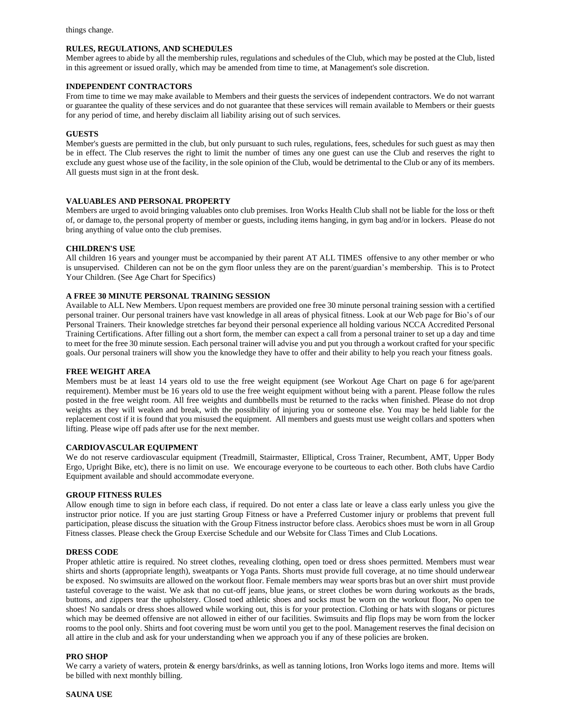## **RULES, REGULATIONS, AND SCHEDULES**

Member agrees to abide by all the membership rules, regulations and schedules of the Club, which may be posted at the Club, listed in this agreement or issued orally, which may be amended from time to time, at Management's sole discretion.

#### **INDEPENDENT CONTRACTORS**

From time to time we may make available to Members and their guests the services of independent contractors. We do not warrant or guarantee the quality of these services and do not guarantee that these services will remain available to Members or their guests for any period of time, and hereby disclaim all liability arising out of such services.

#### **GUESTS**

Member's guests are permitted in the club, but only pursuant to such rules, regulations, fees, schedules for such guest as may then be in effect. The Club reserves the right to limit the number of times any one guest can use the Club and reserves the right to exclude any guest whose use of the facility, in the sole opinion of the Club, would be detrimental to the Club or any of its members. All guests must sign in at the front desk.

#### **VALUABLES AND PERSONAL PROPERTY**

Members are urged to avoid bringing valuables onto club premises. Iron Works Health Club shall not be liable for the loss or theft of, or damage to, the personal property of member or guests, including items hanging, in gym bag and/or in lockers. Please do not bring anything of value onto the club premises.

#### **CHILDREN'S USE**

All children 16 years and younger must be accompanied by their parent AT ALL TIMES offensive to any other member or who is unsupervised. Childeren can not be on the gym floor unless they are on the parent/guardian's membership. This is to Protect Your Children. (See Age Chart for Specifics)

#### **A FREE 30 MINUTE PERSONAL TRAINING SESSION**

Available to ALL New Members. Upon request members are provided one free 30 minute personal training session with a certified personal trainer. Our personal trainers have vast knowledge in all areas of physical fitness. Look at our Web page for Bio's of our Personal Trainers. Their knowledge stretches far beyond their personal experience all holding various NCCA Accredited Personal Training Certifications. After filling out a short form, the member can expect a call from a personal trainer to set up a day and time to meet for the free 30 minute session. Each personal trainer will advise you and put you through a workout crafted for your specific goals. Our personal trainers will show you the knowledge they have to offer and their ability to help you reach your fitness goals.

#### **FREE WEIGHT AREA**

Members must be at least 14 years old to use the free weight equipment (see Workout Age Chart on page 6 for age/parent requirement). Member must be 16 years old to use the free weight equipment without being with a parent. Please follow the rules posted in the free weight room. All free weights and dumbbells must be returned to the racks when finished. Please do not drop weights as they will weaken and break, with the possibility of injuring you or someone else. You may be held liable for the replacement cost if it is found that you misused the equipment. All members and guests must use weight collars and spotters when lifting. Please wipe off pads after use for the next member.

#### **CARDIOVASCULAR EQUIPMENT**

We do not reserve cardiovascular equipment (Treadmill, Stairmaster, Elliptical, Cross Trainer, Recumbent, AMT, Upper Body Ergo, Upright Bike, etc), there is no limit on use. We encourage everyone to be courteous to each other. Both clubs have Cardio Equipment available and should accommodate everyone.

#### **GROUP FITNESS RULES**

Allow enough time to sign in before each class, if required. Do not enter a class late or leave a class early unless you give the instructor prior notice. If you are just starting Group Fitness or have a Preferred Customer injury or problems that prevent full participation, please discuss the situation with the Group Fitness instructor before class. Aerobics shoes must be worn in all Group Fitness classes. Please check the Group Exercise Schedule and our Website for Class Times and Club Locations.

#### **DRESS CODE**

Proper athletic attire is required. No street clothes, revealing clothing, open toed or dress shoes permitted. Members must wear shirts and shorts (appropriate length), sweatpants or Yoga Pants. Shorts must provide full coverage, at no time should underwear be exposed. No swimsuits are allowed on the workout floor. Female members may wear sports bras but an over shirt must provide tasteful coverage to the waist. We ask that no cut-off jeans, blue jeans, or street clothes be worn during workouts as the brads, buttons, and zippers tear the upholstery. Closed toed athletic shoes and socks must be worn on the workout floor, No open toe shoes! No sandals or dress shoes allowed while working out, this is for your protection. Clothing or hats with slogans or pictures which may be deemed offensive are not allowed in either of our facilities. Swimsuits and flip flops may be worn from the locker rooms to the pool only. Shirts and foot covering must be worn until you get to the pool. Management reserves the final decision on all attire in the club and ask for your understanding when we approach you if any of these policies are broken.

#### **PRO SHOP**

We carry a variety of waters, protein & energy bars/drinks, as well as tanning lotions, Iron Works logo items and more. Items will be billed with next monthly billing.